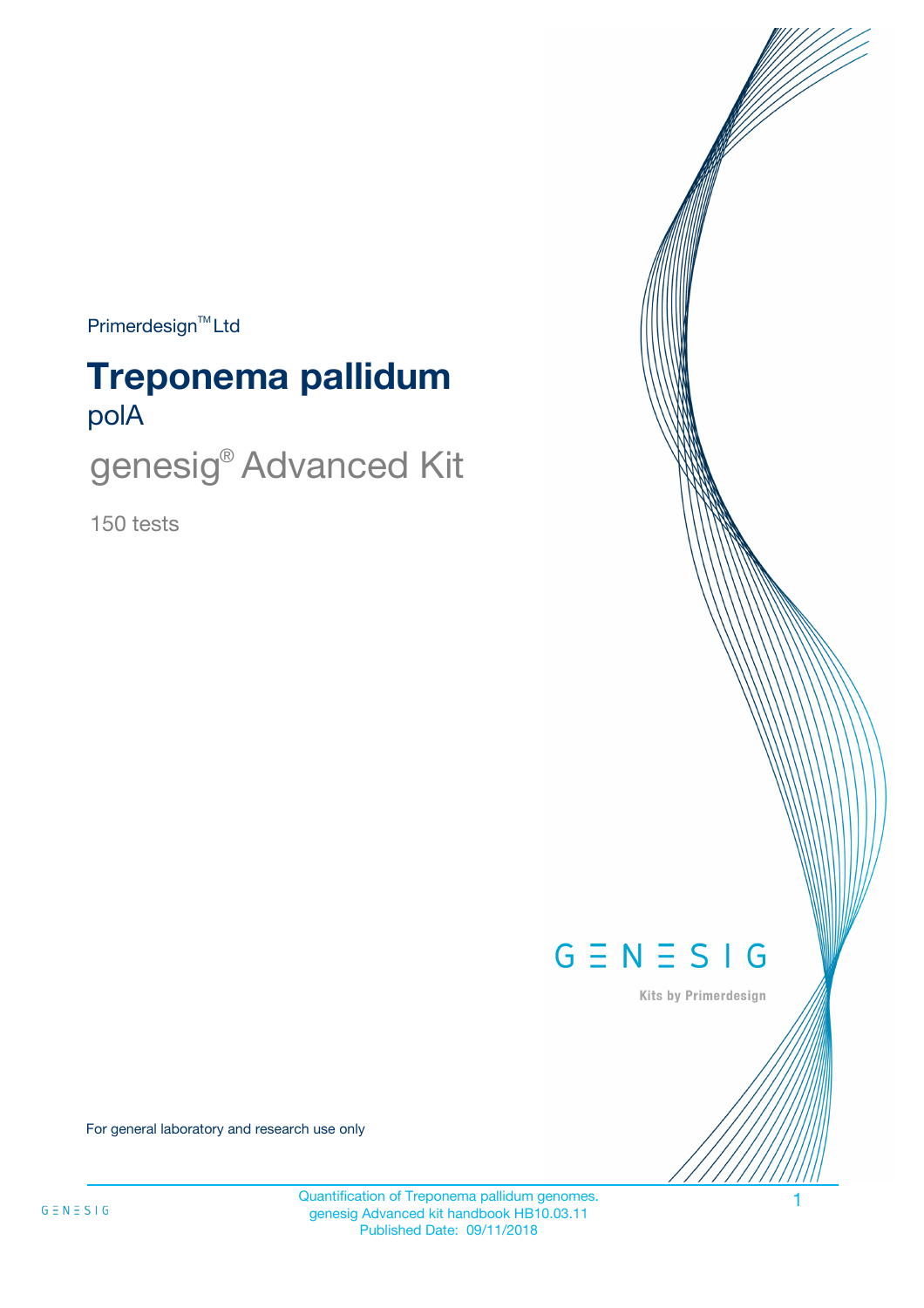Primerdesign<sup>™</sup>Ltd

# polA **Treponema pallidum**

genesig® Advanced Kit

150 tests



Kits by Primerdesign

For general laboratory and research use only

Quantification of Treponema pallidum genomes. genesig Advanced kit handbook HB10.03.11 Published Date: 09/11/2018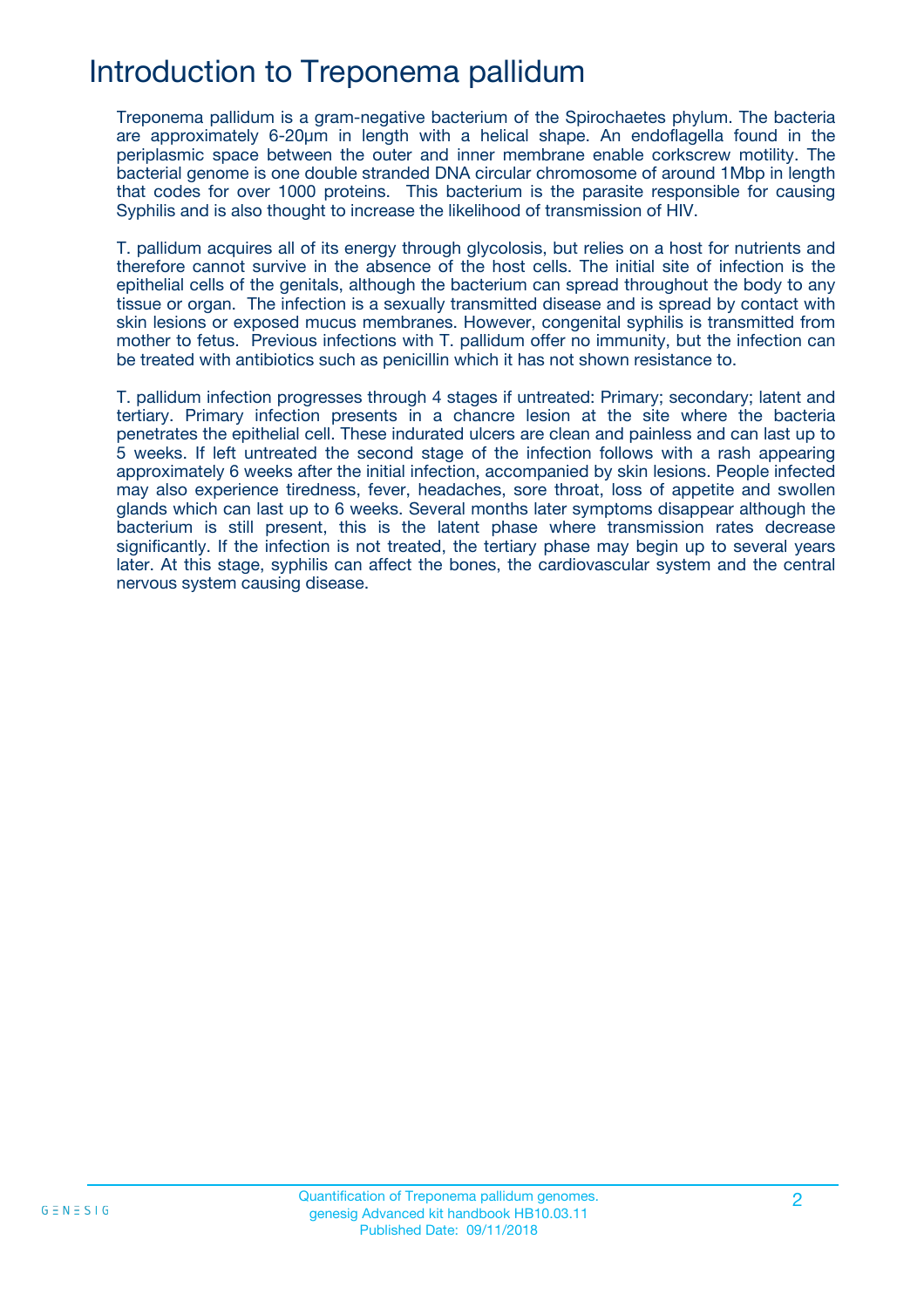## Introduction to Treponema pallidum

Treponema pallidum is a gram-negative bacterium of the Spirochaetes phylum. The bacteria are approximately 6-20μm in length with a helical shape. An endoflagella found in the periplasmic space between the outer and inner membrane enable corkscrew motility. The bacterial genome is one double stranded DNA circular chromosome of around 1Mbp in length that codes for over 1000 proteins. This bacterium is the parasite responsible for causing Syphilis and is also thought to increase the likelihood of transmission of HIV.

T. pallidum acquires all of its energy through glycolosis, but relies on a host for nutrients and therefore cannot survive in the absence of the host cells. The initial site of infection is the epithelial cells of the genitals, although the bacterium can spread throughout the body to any tissue or organ. The infection is a sexually transmitted disease and is spread by contact with skin lesions or exposed mucus membranes. However, congenital syphilis is transmitted from mother to fetus. Previous infections with T. pallidum offer no immunity, but the infection can be treated with antibiotics such as penicillin which it has not shown resistance to.

T. pallidum infection progresses through 4 stages if untreated: Primary; secondary; latent and tertiary. Primary infection presents in a chancre lesion at the site where the bacteria penetrates the epithelial cell. These indurated ulcers are clean and painless and can last up to 5 weeks. If left untreated the second stage of the infection follows with a rash appearing approximately 6 weeks after the initial infection, accompanied by skin lesions. People infected may also experience tiredness, fever, headaches, sore throat, loss of appetite and swollen glands which can last up to 6 weeks. Several months later symptoms disappear although the bacterium is still present, this is the latent phase where transmission rates decrease significantly. If the infection is not treated, the tertiary phase may begin up to several years later. At this stage, syphilis can affect the bones, the cardiovascular system and the central nervous system causing disease.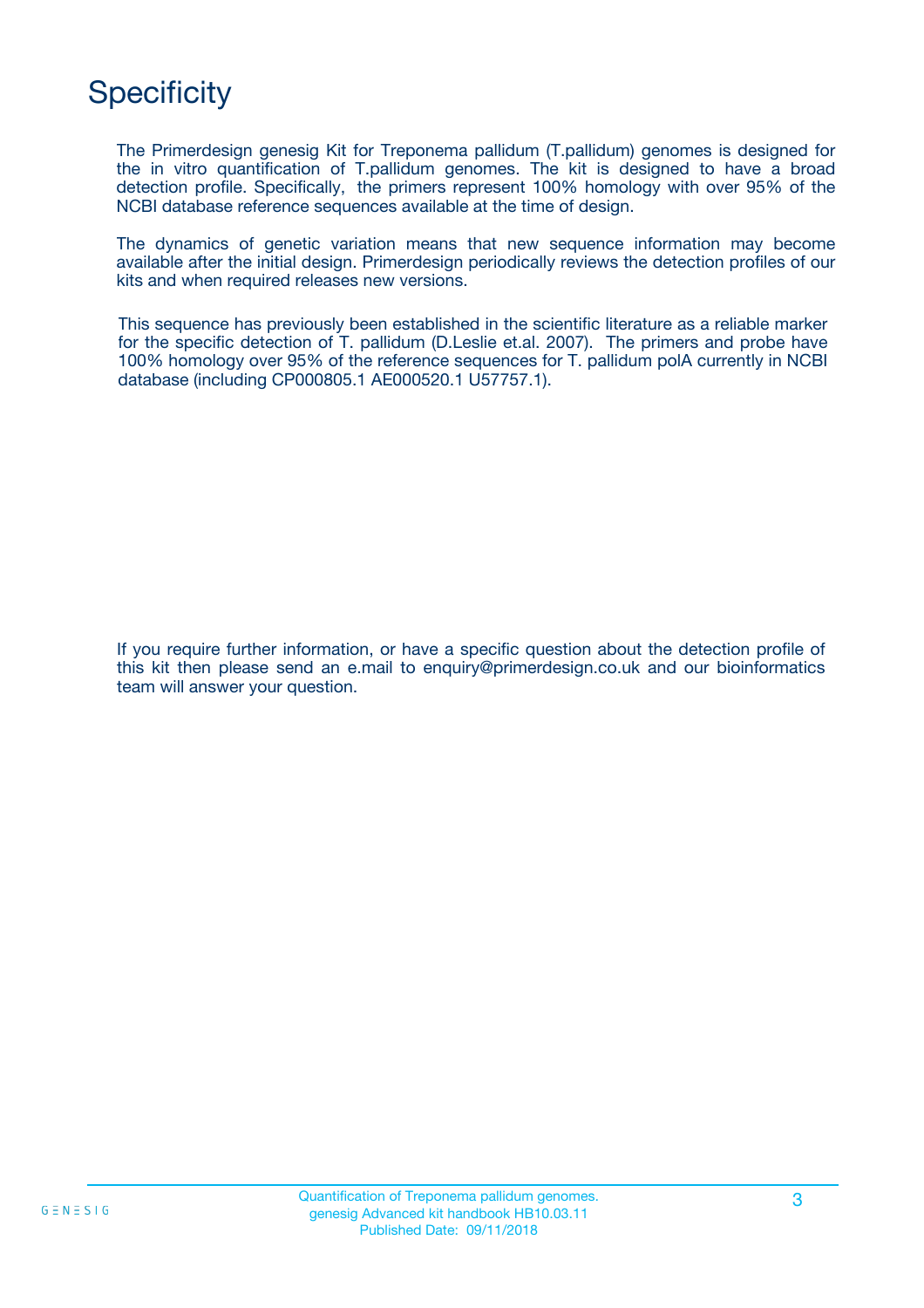# **Specificity**

The Primerdesign genesig Kit for Treponema pallidum (T.pallidum) genomes is designed for the in vitro quantification of T.pallidum genomes. The kit is designed to have a broad detection profile. Specifically, the primers represent 100% homology with over 95% of the NCBI database reference sequences available at the time of design.

The dynamics of genetic variation means that new sequence information may become available after the initial design. Primerdesign periodically reviews the detection profiles of our kits and when required releases new versions.

This sequence has previously been established in the scientific literature as a reliable marker for the specific detection of T. pallidum (D.Leslie et.al. 2007). The primers and probe have 100% homology over 95% of the reference sequences for T. pallidum polA currently in NCBI database (including CP000805.1 AE000520.1 U57757.1).

If you require further information, or have a specific question about the detection profile of this kit then please send an e.mail to enquiry@primerdesign.co.uk and our bioinformatics team will answer your question.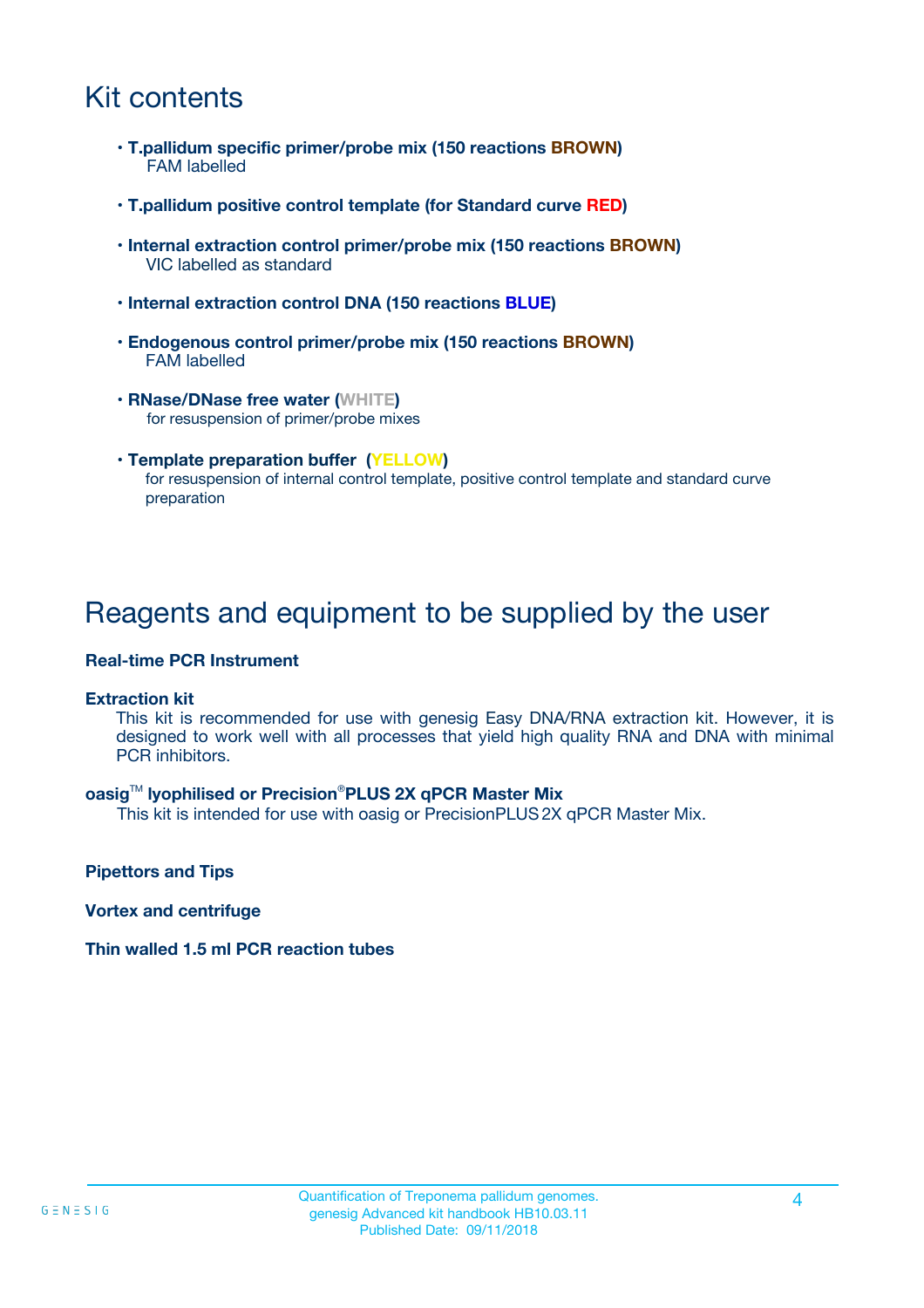## Kit contents

- **T.pallidum specific primer/probe mix (150 reactions BROWN)** FAM labelled
- **T.pallidum positive control template (for Standard curve RED)**
- **Internal extraction control primer/probe mix (150 reactions BROWN)** VIC labelled as standard
- **Internal extraction control DNA (150 reactions BLUE)**
- **Endogenous control primer/probe mix (150 reactions BROWN)** FAM labelled
- **RNase/DNase free water (WHITE)** for resuspension of primer/probe mixes
- **Template preparation buffer (YELLOW)** for resuspension of internal control template, positive control template and standard curve preparation

### Reagents and equipment to be supplied by the user

#### **Real-time PCR Instrument**

#### **Extraction kit**

This kit is recommended for use with genesig Easy DNA/RNA extraction kit. However, it is designed to work well with all processes that yield high quality RNA and DNA with minimal PCR inhibitors.

#### **oasig**TM **lyophilised or Precision**®**PLUS 2X qPCR Master Mix**

This kit is intended for use with oasig or PrecisionPLUS2X qPCR Master Mix.

**Pipettors and Tips**

**Vortex and centrifuge**

#### **Thin walled 1.5 ml PCR reaction tubes**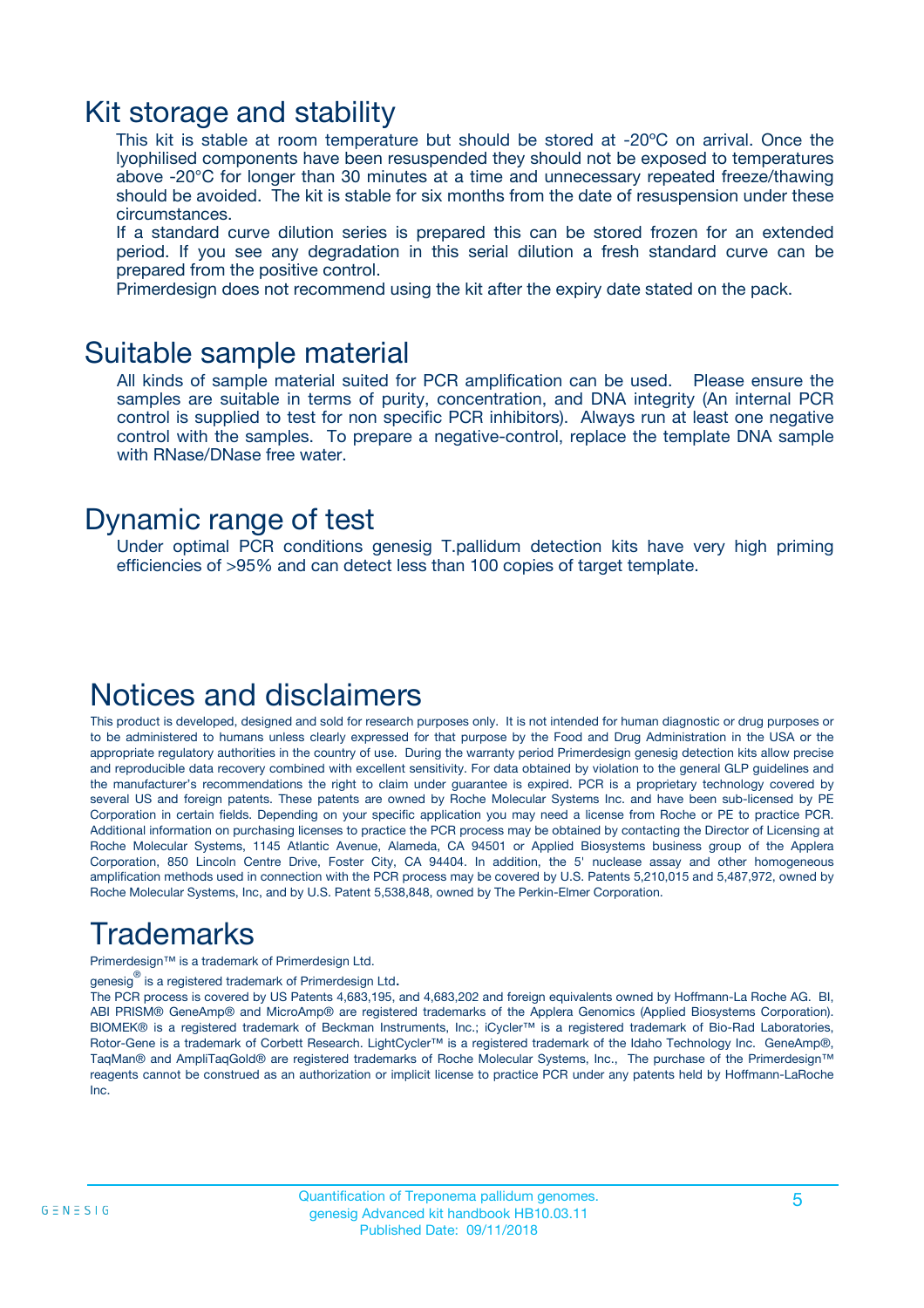### Kit storage and stability

This kit is stable at room temperature but should be stored at -20ºC on arrival. Once the lyophilised components have been resuspended they should not be exposed to temperatures above -20°C for longer than 30 minutes at a time and unnecessary repeated freeze/thawing should be avoided. The kit is stable for six months from the date of resuspension under these circumstances.

If a standard curve dilution series is prepared this can be stored frozen for an extended period. If you see any degradation in this serial dilution a fresh standard curve can be prepared from the positive control.

Primerdesign does not recommend using the kit after the expiry date stated on the pack.

### Suitable sample material

All kinds of sample material suited for PCR amplification can be used. Please ensure the samples are suitable in terms of purity, concentration, and DNA integrity (An internal PCR control is supplied to test for non specific PCR inhibitors). Always run at least one negative control with the samples. To prepare a negative-control, replace the template DNA sample with RNase/DNase free water.

### Dynamic range of test

Under optimal PCR conditions genesig T.pallidum detection kits have very high priming efficiencies of >95% and can detect less than 100 copies of target template.

### Notices and disclaimers

This product is developed, designed and sold for research purposes only. It is not intended for human diagnostic or drug purposes or to be administered to humans unless clearly expressed for that purpose by the Food and Drug Administration in the USA or the appropriate regulatory authorities in the country of use. During the warranty period Primerdesign genesig detection kits allow precise and reproducible data recovery combined with excellent sensitivity. For data obtained by violation to the general GLP guidelines and the manufacturer's recommendations the right to claim under guarantee is expired. PCR is a proprietary technology covered by several US and foreign patents. These patents are owned by Roche Molecular Systems Inc. and have been sub-licensed by PE Corporation in certain fields. Depending on your specific application you may need a license from Roche or PE to practice PCR. Additional information on purchasing licenses to practice the PCR process may be obtained by contacting the Director of Licensing at Roche Molecular Systems, 1145 Atlantic Avenue, Alameda, CA 94501 or Applied Biosystems business group of the Applera Corporation, 850 Lincoln Centre Drive, Foster City, CA 94404. In addition, the 5' nuclease assay and other homogeneous amplification methods used in connection with the PCR process may be covered by U.S. Patents 5,210,015 and 5,487,972, owned by Roche Molecular Systems, Inc, and by U.S. Patent 5,538,848, owned by The Perkin-Elmer Corporation.

## Trademarks

Primerdesign™ is a trademark of Primerdesign Ltd.

genesig $^\circledR$  is a registered trademark of Primerdesign Ltd.

The PCR process is covered by US Patents 4,683,195, and 4,683,202 and foreign equivalents owned by Hoffmann-La Roche AG. BI, ABI PRISM® GeneAmp® and MicroAmp® are registered trademarks of the Applera Genomics (Applied Biosystems Corporation). BIOMEK® is a registered trademark of Beckman Instruments, Inc.; iCycler™ is a registered trademark of Bio-Rad Laboratories, Rotor-Gene is a trademark of Corbett Research. LightCycler™ is a registered trademark of the Idaho Technology Inc. GeneAmp®, TaqMan® and AmpliTaqGold® are registered trademarks of Roche Molecular Systems, Inc., The purchase of the Primerdesign™ reagents cannot be construed as an authorization or implicit license to practice PCR under any patents held by Hoffmann-LaRoche Inc.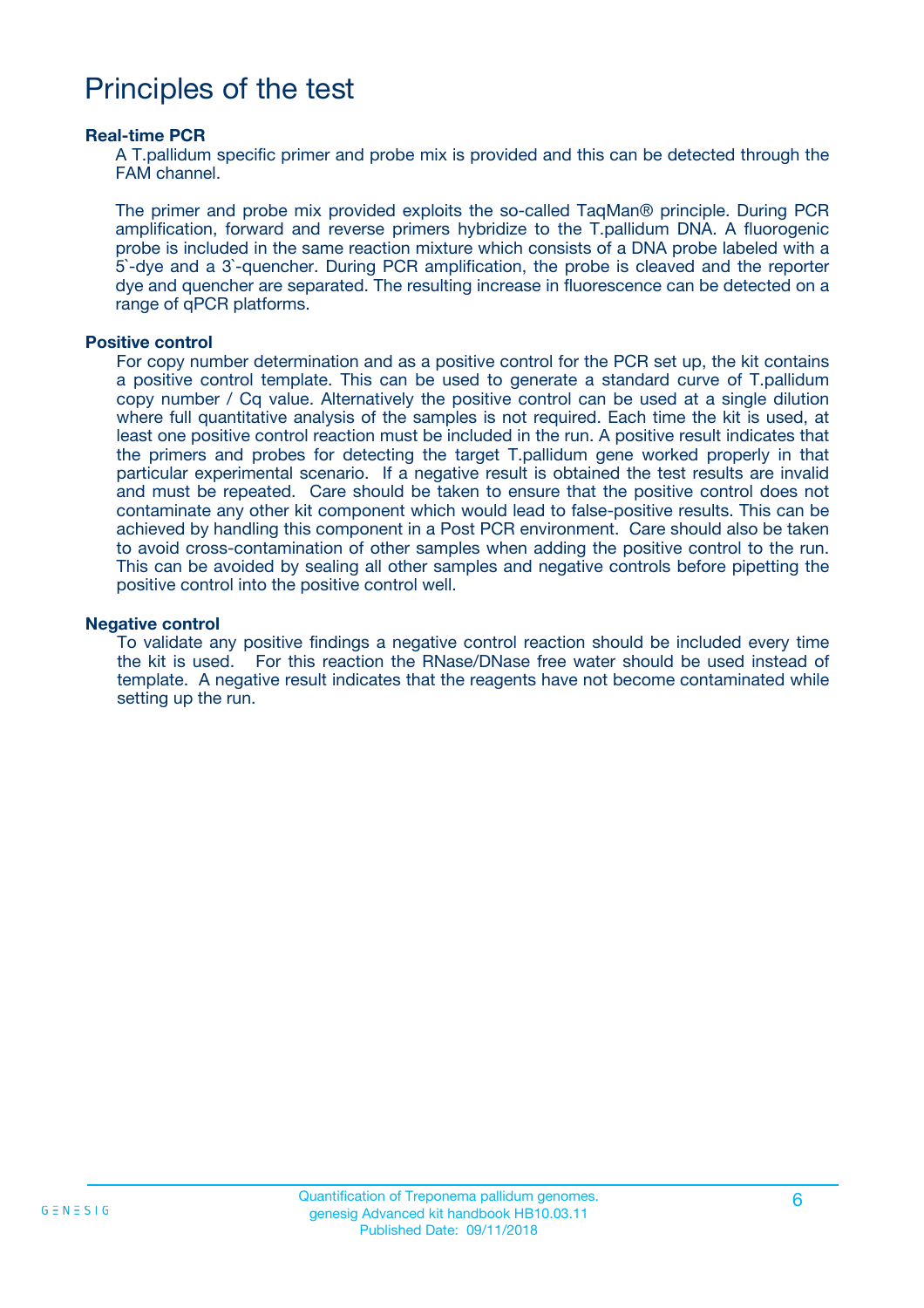### Principles of the test

#### **Real-time PCR**

A T.pallidum specific primer and probe mix is provided and this can be detected through the FAM channel.

The primer and probe mix provided exploits the so-called TaqMan® principle. During PCR amplification, forward and reverse primers hybridize to the T.pallidum DNA. A fluorogenic probe is included in the same reaction mixture which consists of a DNA probe labeled with a 5`-dye and a 3`-quencher. During PCR amplification, the probe is cleaved and the reporter dye and quencher are separated. The resulting increase in fluorescence can be detected on a range of qPCR platforms.

#### **Positive control**

For copy number determination and as a positive control for the PCR set up, the kit contains a positive control template. This can be used to generate a standard curve of T.pallidum copy number / Cq value. Alternatively the positive control can be used at a single dilution where full quantitative analysis of the samples is not required. Each time the kit is used, at least one positive control reaction must be included in the run. A positive result indicates that the primers and probes for detecting the target T.pallidum gene worked properly in that particular experimental scenario. If a negative result is obtained the test results are invalid and must be repeated. Care should be taken to ensure that the positive control does not contaminate any other kit component which would lead to false-positive results. This can be achieved by handling this component in a Post PCR environment. Care should also be taken to avoid cross-contamination of other samples when adding the positive control to the run. This can be avoided by sealing all other samples and negative controls before pipetting the positive control into the positive control well.

#### **Negative control**

To validate any positive findings a negative control reaction should be included every time the kit is used. For this reaction the RNase/DNase free water should be used instead of template. A negative result indicates that the reagents have not become contaminated while setting up the run.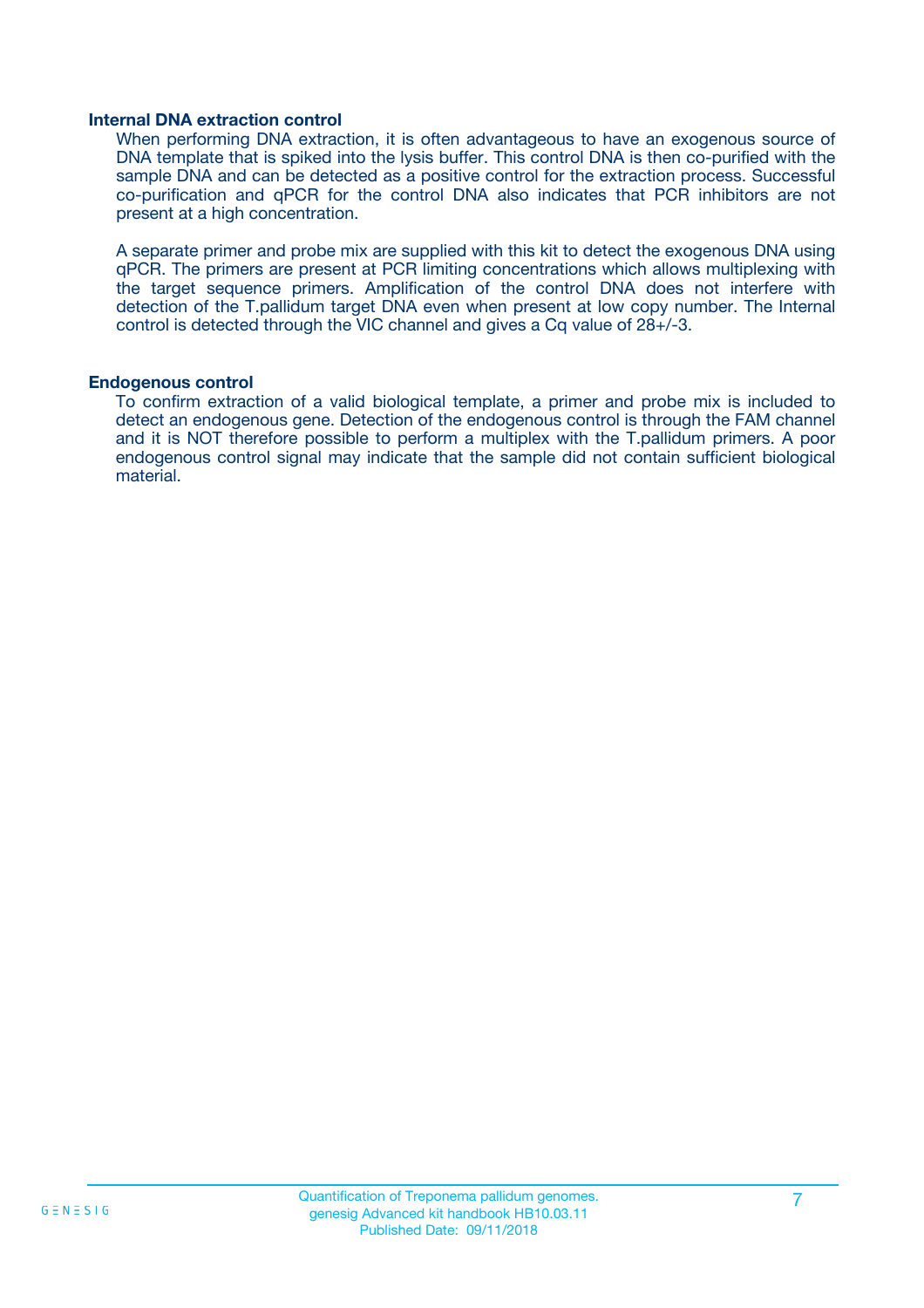#### **Internal DNA extraction control**

When performing DNA extraction, it is often advantageous to have an exogenous source of DNA template that is spiked into the lysis buffer. This control DNA is then co-purified with the sample DNA and can be detected as a positive control for the extraction process. Successful co-purification and qPCR for the control DNA also indicates that PCR inhibitors are not present at a high concentration.

A separate primer and probe mix are supplied with this kit to detect the exogenous DNA using qPCR. The primers are present at PCR limiting concentrations which allows multiplexing with the target sequence primers. Amplification of the control DNA does not interfere with detection of the T.pallidum target DNA even when present at low copy number. The Internal control is detected through the VIC channel and gives a Cq value of 28+/-3.

#### **Endogenous control**

To confirm extraction of a valid biological template, a primer and probe mix is included to detect an endogenous gene. Detection of the endogenous control is through the FAM channel and it is NOT therefore possible to perform a multiplex with the T.pallidum primers. A poor endogenous control signal may indicate that the sample did not contain sufficient biological material.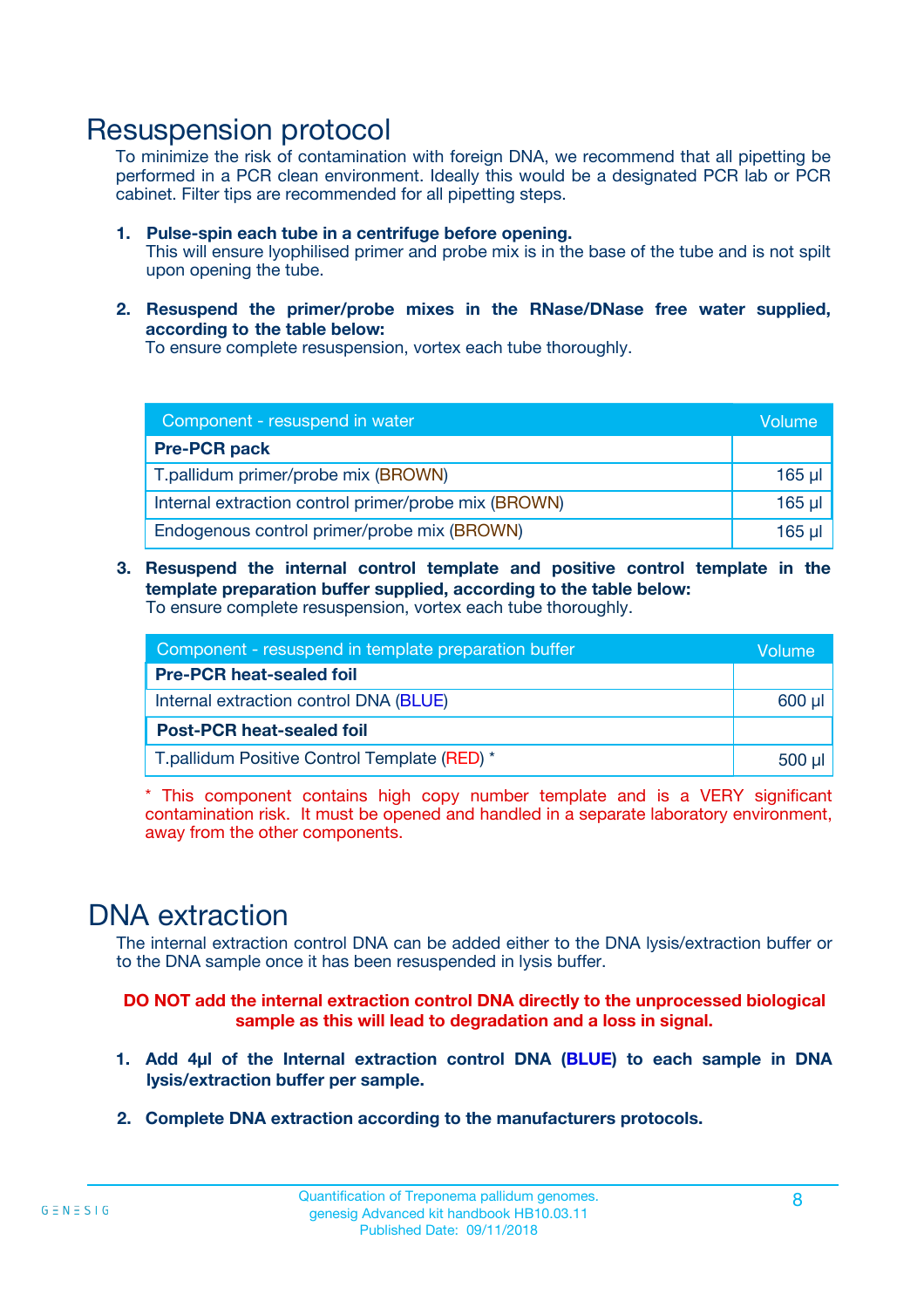### Resuspension protocol

To minimize the risk of contamination with foreign DNA, we recommend that all pipetting be performed in a PCR clean environment. Ideally this would be a designated PCR lab or PCR cabinet. Filter tips are recommended for all pipetting steps.

- **1. Pulse-spin each tube in a centrifuge before opening.** This will ensure lyophilised primer and probe mix is in the base of the tube and is not spilt upon opening the tube.
- **2. Resuspend the primer/probe mixes in the RNase/DNase free water supplied, according to the table below:**

To ensure complete resuspension, vortex each tube thoroughly.

| Component - resuspend in water                       |         |  |
|------------------------------------------------------|---------|--|
| <b>Pre-PCR pack</b>                                  |         |  |
| T.pallidum primer/probe mix (BROWN)                  | $165$ µ |  |
| Internal extraction control primer/probe mix (BROWN) | $165$ µ |  |
| Endogenous control primer/probe mix (BROWN)          | 165 µl  |  |

**3. Resuspend the internal control template and positive control template in the template preparation buffer supplied, according to the table below:** To ensure complete resuspension, vortex each tube thoroughly.

| Component - resuspend in template preparation buffer |  |  |  |
|------------------------------------------------------|--|--|--|
| <b>Pre-PCR heat-sealed foil</b>                      |  |  |  |
| Internal extraction control DNA (BLUE)               |  |  |  |
| <b>Post-PCR heat-sealed foil</b>                     |  |  |  |
| T.pallidum Positive Control Template (RED) *         |  |  |  |

\* This component contains high copy number template and is a VERY significant contamination risk. It must be opened and handled in a separate laboratory environment, away from the other components.

### DNA extraction

The internal extraction control DNA can be added either to the DNA lysis/extraction buffer or to the DNA sample once it has been resuspended in lysis buffer.

**DO NOT add the internal extraction control DNA directly to the unprocessed biological sample as this will lead to degradation and a loss in signal.**

- **1. Add 4µl of the Internal extraction control DNA (BLUE) to each sample in DNA lysis/extraction buffer per sample.**
- **2. Complete DNA extraction according to the manufacturers protocols.**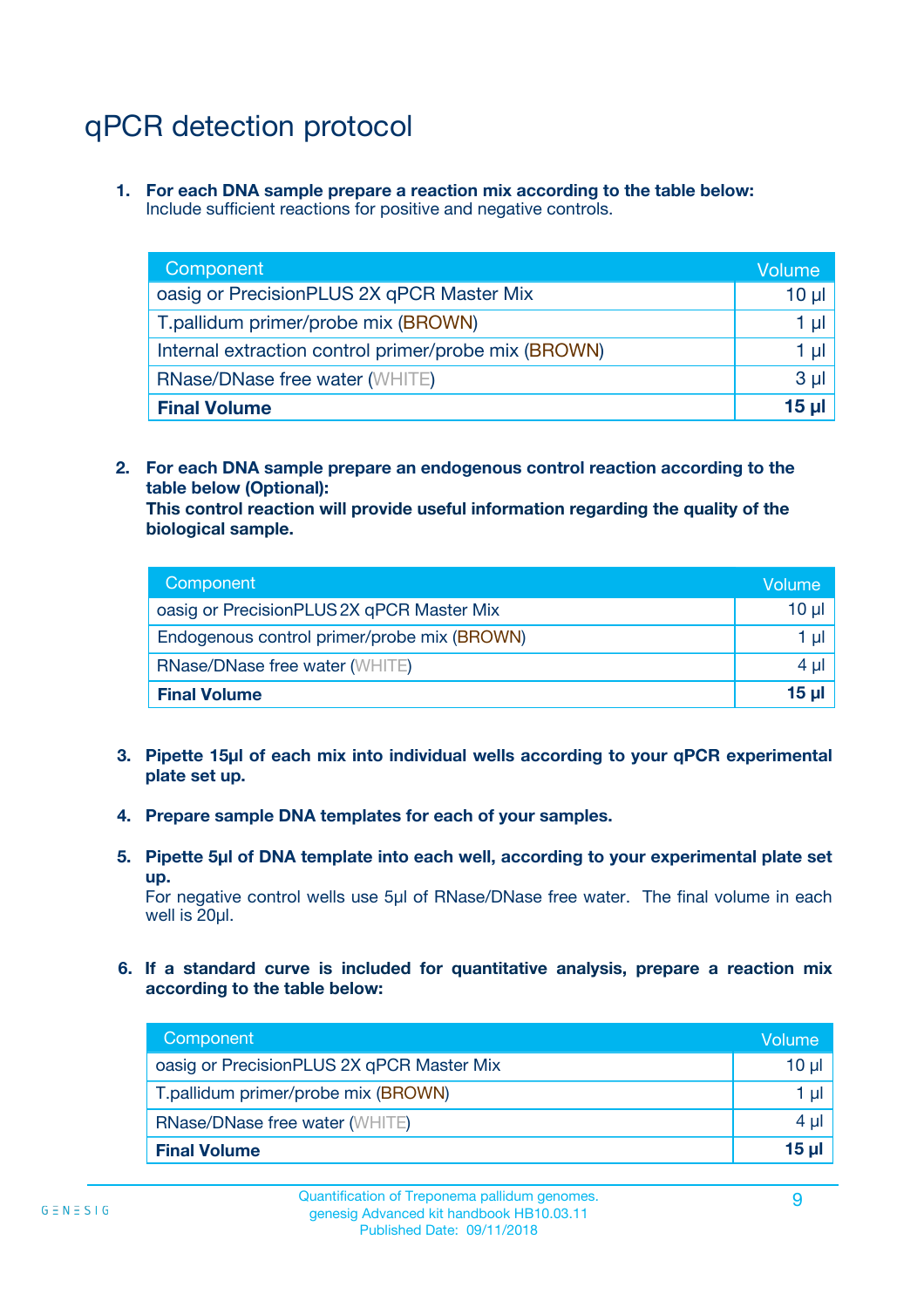# qPCR detection protocol

**1. For each DNA sample prepare a reaction mix according to the table below:** Include sufficient reactions for positive and negative controls.

| Component                                            | Volume   |
|------------------------------------------------------|----------|
| oasig or PrecisionPLUS 2X qPCR Master Mix            | 10 $\mu$ |
| T.pallidum primer/probe mix (BROWN)                  | 1 µl     |
| Internal extraction control primer/probe mix (BROWN) | 1 µl     |
| <b>RNase/DNase free water (WHITE)</b>                | $3 \mu$  |
| <b>Final Volume</b>                                  | 15 µl    |

**2. For each DNA sample prepare an endogenous control reaction according to the table below (Optional):**

**This control reaction will provide useful information regarding the quality of the biological sample.**

| Component                                   | Volume          |
|---------------------------------------------|-----------------|
| oasig or PrecisionPLUS 2X qPCR Master Mix   | 10 µl           |
| Endogenous control primer/probe mix (BROWN) | 1 ul            |
| <b>RNase/DNase free water (WHITE)</b>       | $4 \mu$         |
| <b>Final Volume</b>                         | 15 <sub>µ</sub> |

- **3. Pipette 15µl of each mix into individual wells according to your qPCR experimental plate set up.**
- **4. Prepare sample DNA templates for each of your samples.**
- **5. Pipette 5µl of DNA template into each well, according to your experimental plate set up.**

For negative control wells use 5µl of RNase/DNase free water. The final volume in each well is 20ul.

**6. If a standard curve is included for quantitative analysis, prepare a reaction mix according to the table below:**

| Component                                 | Volume  |
|-------------------------------------------|---------|
| oasig or PrecisionPLUS 2X qPCR Master Mix | 10 µl   |
| T.pallidum primer/probe mix (BROWN)       | 1 µI    |
| <b>RNase/DNase free water (WHITE)</b>     | $4 \mu$ |
| <b>Final Volume</b>                       | 15 µl   |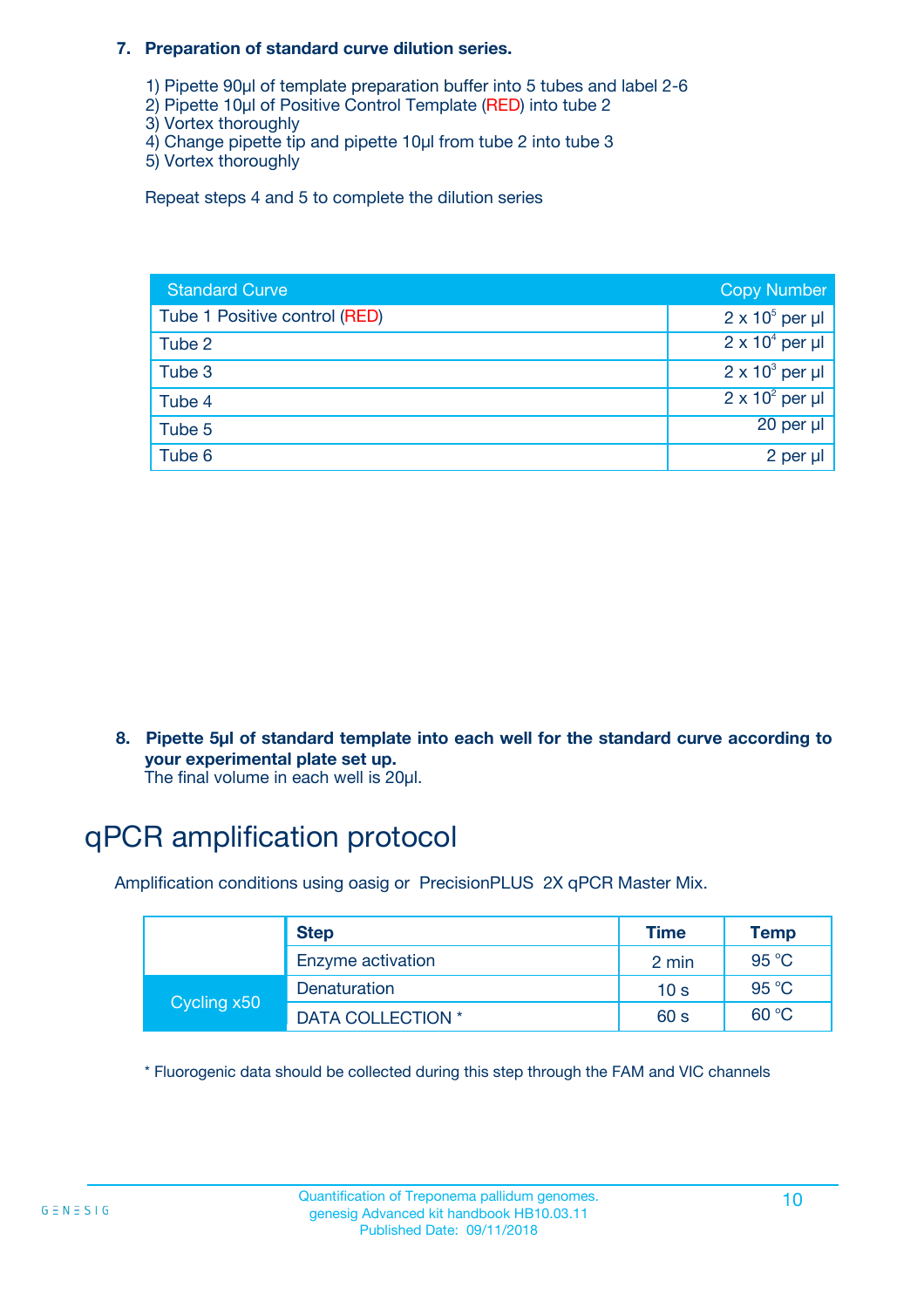#### **7. Preparation of standard curve dilution series.**

- 1) Pipette 90µl of template preparation buffer into 5 tubes and label 2-6
- 2) Pipette 10µl of Positive Control Template (RED) into tube 2
- 3) Vortex thoroughly
- 4) Change pipette tip and pipette 10µl from tube 2 into tube 3
- 5) Vortex thoroughly

Repeat steps 4 and 5 to complete the dilution series

| <b>Standard Curve</b>         | <b>Copy Number</b>     |
|-------------------------------|------------------------|
| Tube 1 Positive control (RED) | $2 \times 10^5$ per µl |
| Tube 2                        | $2 \times 10^4$ per µl |
| Tube 3                        | $2 \times 10^3$ per µl |
| Tube 4                        | $2 \times 10^2$ per µl |
| Tube 5                        | 20 per µl              |
| Tube 6                        | 2 per µl               |

**8. Pipette 5µl of standard template into each well for the standard curve according to your experimental plate set up.**

#### The final volume in each well is 20µl.

## qPCR amplification protocol

Amplification conditions using oasig or PrecisionPLUS 2X qPCR Master Mix.

|             | <b>Step</b>       | <b>Time</b>     | Temp    |
|-------------|-------------------|-----------------|---------|
|             | Enzyme activation | 2 min           | 95 °C   |
| Cycling x50 | Denaturation      | 10 <sub>s</sub> | 95 $°C$ |
|             | DATA COLLECTION * | 60 s            | 60 °C   |

\* Fluorogenic data should be collected during this step through the FAM and VIC channels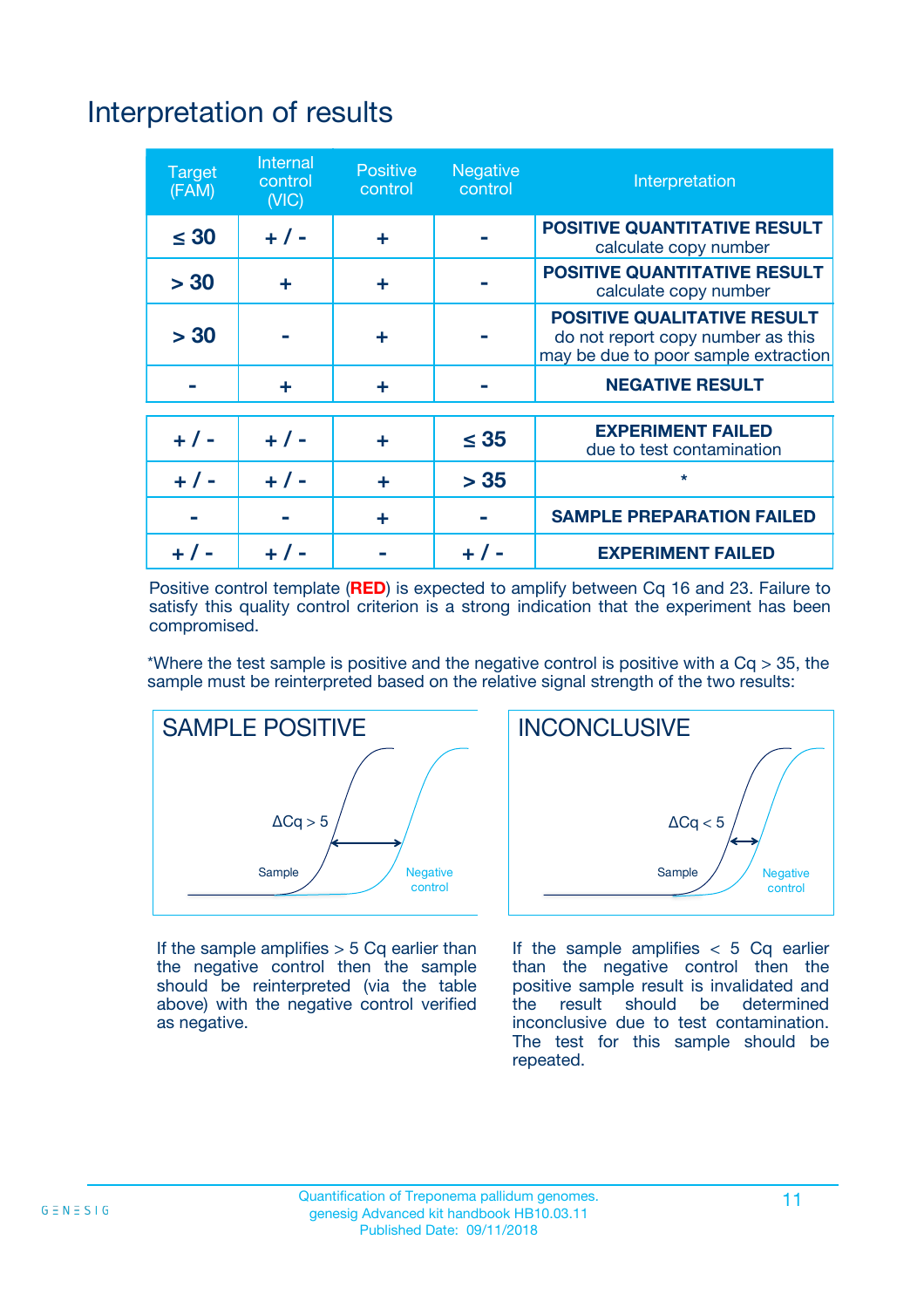# Interpretation of results

| <b>Target</b><br>(FAM) | <b>Internal</b><br>control<br>(NIC) | <b>Positive</b><br>control | <b>Negative</b><br>control | Interpretation                                                                                                  |
|------------------------|-------------------------------------|----------------------------|----------------------------|-----------------------------------------------------------------------------------------------------------------|
| $\leq 30$              | $+ 1 -$                             | ÷                          |                            | <b>POSITIVE QUANTITATIVE RESULT</b><br>calculate copy number                                                    |
| > 30                   | ٠                                   | ÷                          |                            | <b>POSITIVE QUANTITATIVE RESULT</b><br>calculate copy number                                                    |
| > 30                   |                                     | ÷                          |                            | <b>POSITIVE QUALITATIVE RESULT</b><br>do not report copy number as this<br>may be due to poor sample extraction |
|                        | ÷                                   | ÷                          |                            | <b>NEGATIVE RESULT</b>                                                                                          |
| $+ 1 -$                | $+ 1 -$                             | ÷                          | $\leq$ 35                  | <b>EXPERIMENT FAILED</b><br>due to test contamination                                                           |
| $+$ / -                | $+ 1 -$                             | ÷                          | > 35                       | $\star$                                                                                                         |
|                        |                                     | ÷                          |                            | <b>SAMPLE PREPARATION FAILED</b>                                                                                |
|                        |                                     |                            | $+$ /                      | <b>EXPERIMENT FAILED</b>                                                                                        |

Positive control template (**RED**) is expected to amplify between Cq 16 and 23. Failure to satisfy this quality control criterion is a strong indication that the experiment has been compromised.

\*Where the test sample is positive and the negative control is positive with a  $Ca > 35$ , the sample must be reinterpreted based on the relative signal strength of the two results:



If the sample amplifies  $> 5$  Cq earlier than the negative control then the sample should be reinterpreted (via the table above) with the negative control verified as negative.



If the sample amplifies  $< 5$  Cq earlier than the negative control then the positive sample result is invalidated and<br>the result should be determined  $the$  result should be inconclusive due to test contamination. The test for this sample should be repeated.